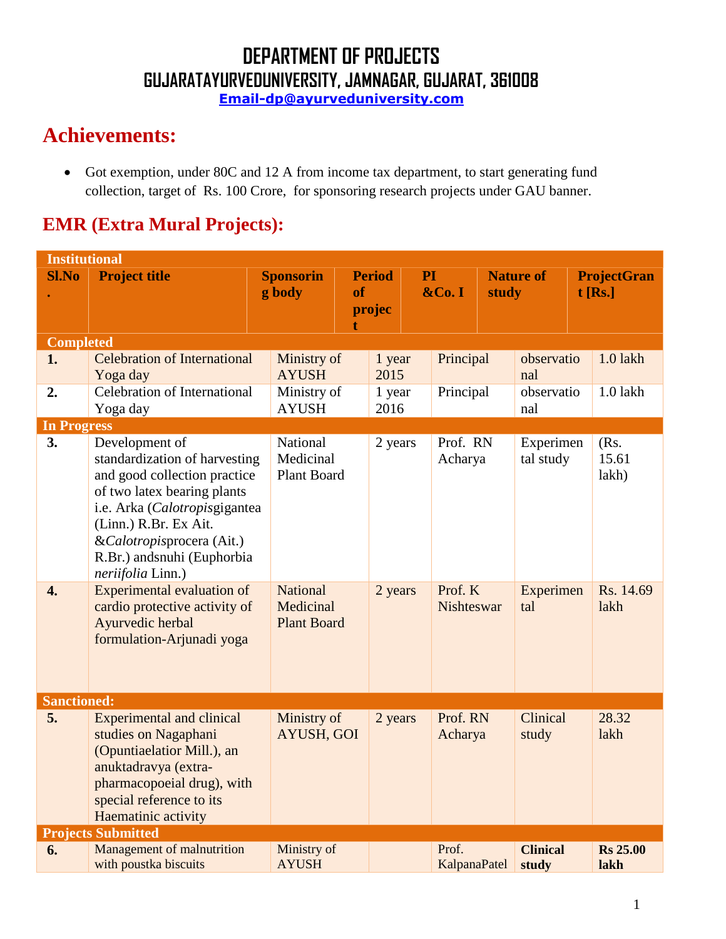**Email-dp@ayurveduniversity.com**

## **Achievements:**

 Got exemption, under 80C and 12 A from income tax department, to start generating fund collection, target of Rs. 100 Crore, for sponsoring research projects under GAU banner.

### **EMR (Extra Mural Projects):**

|                    | <b>Institutional</b>                                                                                                                                                                                                                                                                   |                                                                |           |                         |    |                                |       |                                     |                                     |
|--------------------|----------------------------------------------------------------------------------------------------------------------------------------------------------------------------------------------------------------------------------------------------------------------------------------|----------------------------------------------------------------|-----------|-------------------------|----|--------------------------------|-------|-------------------------------------|-------------------------------------|
| <b>Sl.No</b>       | <b>Project title</b>                                                                                                                                                                                                                                                                   | <b>Sponsorin</b><br>g body                                     | <b>of</b> | <b>Period</b><br>projec | PI | &Co. I                         | study | <b>Nature of</b>                    | <b>ProjectGran</b><br>$t$ [Rs.]     |
| <b>Completed</b>   |                                                                                                                                                                                                                                                                                        |                                                                |           |                         |    |                                |       |                                     |                                     |
| 1.                 | <b>Celebration of International</b><br>Yoga day                                                                                                                                                                                                                                        | Ministry of<br><b>AYUSH</b>                                    |           | 1 year<br>2015          |    | Principal                      |       | observatio<br>nal                   | $1.0$ lakh                          |
| 2.                 | <b>Celebration of International</b><br>Yoga day                                                                                                                                                                                                                                        | Ministry of<br><b>AYUSH</b>                                    |           | 1 year<br>2016          |    | Principal                      |       | observatio<br>nal                   | $1.0$ lakh                          |
| <b>In Progress</b> |                                                                                                                                                                                                                                                                                        |                                                                |           |                         |    |                                |       |                                     |                                     |
| 3.<br>4.           | Development of<br>standardization of harvesting<br>and good collection practice<br>of two latex bearing plants<br>i.e. Arka (Calotropisgigantea<br>(Linn.) R.Br. Ex Ait.<br>&Calotropisprocera (Ait.)<br>R.Br.) andsnuhi (Euphorbia<br>neriifolia Linn.)<br>Experimental evaluation of | National<br>Medicinal<br><b>Plant Board</b><br><b>National</b> |           | 2 years<br>2 years      |    | Prof. RN<br>Acharya<br>Prof. K |       | Experimen<br>tal study<br>Experimen | (Rs.<br>15.61<br>lakh)<br>Rs. 14.69 |
|                    | cardio protective activity of<br>Ayurvedic herbal<br>formulation-Arjunadi yoga                                                                                                                                                                                                         | Medicinal<br><b>Plant Board</b>                                |           |                         |    | Nishteswar                     |       | tal                                 | lakh                                |
| <b>Sanctioned:</b> |                                                                                                                                                                                                                                                                                        |                                                                |           |                         |    |                                |       |                                     |                                     |
| 5.                 | <b>Experimental and clinical</b><br>studies on Nagaphani<br>(Opuntiaelatior Mill.), an<br>anuktadravya (extra-<br>pharmacopoeial drug), with<br>special reference to its<br>Haematinic activity                                                                                        | Ministry of<br><b>AYUSH, GOI</b>                               |           | 2 years                 |    | Prof. RN<br>Acharya            |       | Clinical<br>study                   | 28.32<br>lakh                       |
|                    | <b>Projects Submitted</b>                                                                                                                                                                                                                                                              |                                                                |           |                         |    |                                |       |                                     |                                     |
| 6.                 | Management of malnutrition<br>with poustka biscuits                                                                                                                                                                                                                                    | Ministry of<br><b>AYUSH</b>                                    |           |                         |    | Prof.<br>KalpanaPatel          |       | <b>Clinical</b><br>study            | <b>Rs</b> 25.00<br>lakh             |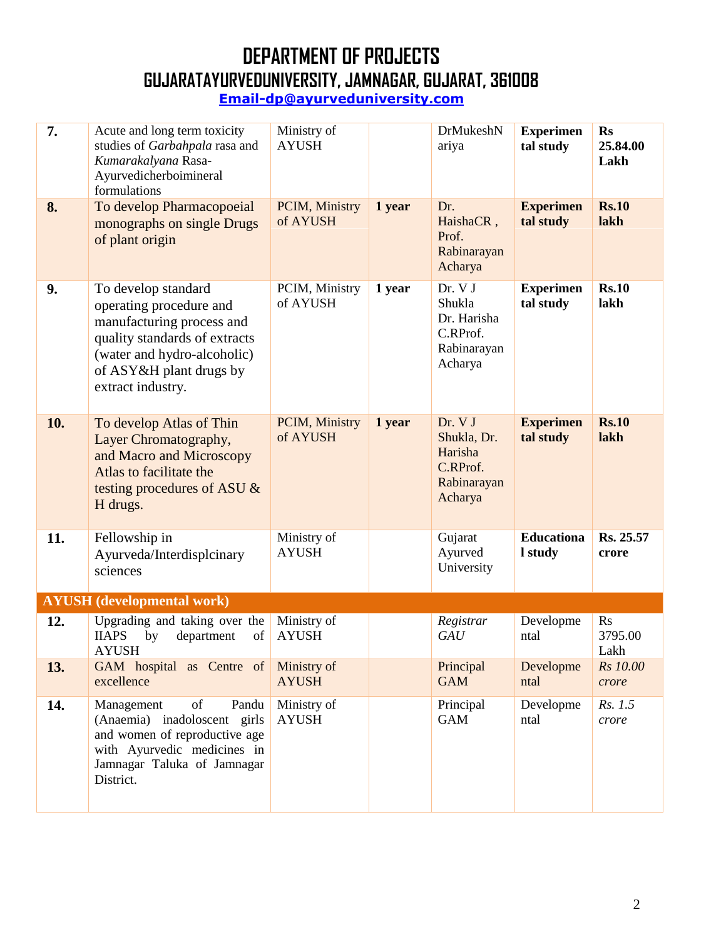| 7.  | Acute and long term toxicity<br>studies of Garbahpala rasa and<br>Kumarakalyana Rasa-<br>Ayurvedicherboimineral<br>formulations                                                             | Ministry of<br><b>AYUSH</b> |        | DrMukeshN<br>ariya                                                      | <b>Experimen</b><br>tal study | <b>Rs</b><br>25.84.00<br>Lakh |
|-----|---------------------------------------------------------------------------------------------------------------------------------------------------------------------------------------------|-----------------------------|--------|-------------------------------------------------------------------------|-------------------------------|-------------------------------|
| 8.  | To develop Pharmacopoeial<br>monographs on single Drugs<br>of plant origin                                                                                                                  | PCIM, Ministry<br>of AYUSH  | 1 year | Dr.<br>HaishaCR,<br>Prof.<br>Rabinarayan<br>Acharya                     | <b>Experimen</b><br>tal study | <b>Rs.10</b><br>lakh          |
| 9.  | To develop standard<br>operating procedure and<br>manufacturing process and<br>quality standards of extracts<br>(water and hydro-alcoholic)<br>of ASY&H plant drugs by<br>extract industry. | PCIM, Ministry<br>of AYUSH  | 1 year | Dr. V J<br>Shukla<br>Dr. Harisha<br>C.RProf.<br>Rabinarayan<br>Acharya  | <b>Experimen</b><br>tal study | <b>Rs.10</b><br>lakh          |
| 10. | To develop Atlas of Thin<br>Layer Chromatography,<br>and Macro and Microscopy<br>Atlas to facilitate the<br>testing procedures of ASU &<br>H drugs.                                         | PCIM, Ministry<br>of AYUSH  | 1 year | Dr. V J<br>Shukla, Dr.<br>Harisha<br>C.RProf.<br>Rabinarayan<br>Acharya | <b>Experimen</b><br>tal study | <b>Rs.10</b><br>lakh          |
| 11. | Fellowship in<br>Ayurveda/Interdisplcinary<br>sciences                                                                                                                                      | Ministry of<br><b>AYUSH</b> |        | Gujarat<br>Ayurved<br>University                                        | <b>Educationa</b><br>I study  | Rs. 25.57<br>crore            |
|     | <b>AYUSH</b> (developmental work)                                                                                                                                                           |                             |        |                                                                         |                               |                               |
| 12. | Upgrading and taking over the<br>department<br><b>IIAPS</b><br>of<br>by<br><b>AYUSH</b>                                                                                                     | Ministry of<br><b>AYUSH</b> |        | Registrar<br><b>GAU</b>                                                 | Developme<br>ntal             | Rs<br>3795.00<br>Lakh         |
| 13. | GAM hospital as Centre of<br>excellence                                                                                                                                                     | Ministry of<br><b>AYUSH</b> |        | Principal<br><b>GAM</b>                                                 | Developme<br>ntal             | Rs 10.00<br>crore             |
| 14. | of<br>Pandu<br>Management<br>(Anaemia) inadoloscent girls<br>and women of reproductive age<br>with Ayurvedic medicines in<br>Jamnagar Taluka of Jamnagar<br>District.                       | Ministry of<br><b>AYUSH</b> |        | Principal<br><b>GAM</b>                                                 | Developme<br>ntal             | Rs. 1.5<br>crore              |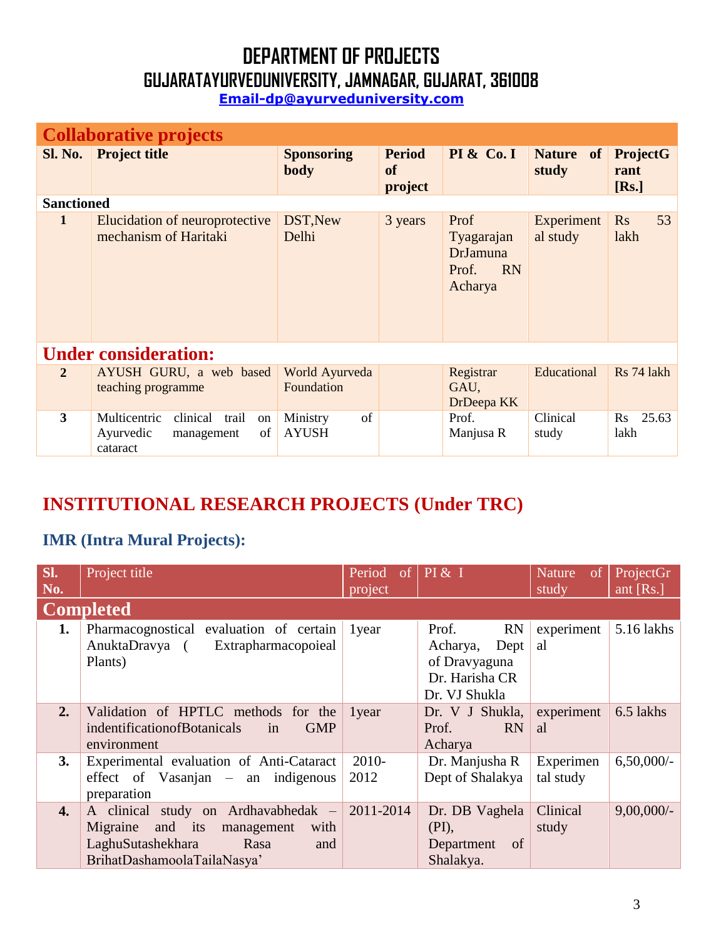**Email-dp@ayurveduniversity.com**

|                   | <b>Collaborative projects</b>                                                        |                                |                                |                                                                        |                        |                                  |
|-------------------|--------------------------------------------------------------------------------------|--------------------------------|--------------------------------|------------------------------------------------------------------------|------------------------|----------------------------------|
| Sl. No.           | <b>Project title</b>                                                                 | <b>Sponsoring</b><br>body      | <b>Period</b><br>of<br>project | <b>PI &amp; Co. I</b>                                                  | Nature of<br>study     | <b>ProjectG</b><br>rant<br>[Rs.] |
| <b>Sanctioned</b> |                                                                                      |                                |                                |                                                                        |                        |                                  |
| 1                 | Elucidation of neuroprotective<br>mechanism of Haritaki                              | DST, New<br>Delhi              | 3 years                        | Prof<br>Tyagarajan<br><b>DrJamuna</b><br><b>RN</b><br>Prof.<br>Acharya | Experiment<br>al study | 53<br>$\mathbf{R}$ s<br>lakh     |
|                   | <b>Under consideration:</b>                                                          |                                |                                |                                                                        |                        |                                  |
| $\overline{2}$    | AYUSH GURU, a web based<br>teaching programme                                        | World Ayurveda<br>Foundation   |                                | Registrar<br>GAU,<br>DrDeepa KK                                        | Educational            | Rs 74 lakh                       |
| 3                 | Multicentric<br>clinical<br>trail<br>on<br>of<br>Ayurvedic<br>management<br>cataract | of<br>Ministry<br><b>AYUSH</b> |                                | Prof.<br>Manjusa R                                                     | Clinical<br>study      | 25.63<br>$\rm Rs$<br>lakh        |

### **INSTITUTIONAL RESEARCH PROJECTS (Under TRC)**

#### **IMR (Intra Mural Projects):**

| SI.<br>No.       | Project title                                                                                                                                       | Period<br><sub>of</sub><br>project | PI & I                                                                                     | <b>Nature</b><br>of<br>study | ProjectGr<br>ant [ $Rs.$ ] |
|------------------|-----------------------------------------------------------------------------------------------------------------------------------------------------|------------------------------------|--------------------------------------------------------------------------------------------|------------------------------|----------------------------|
|                  | <b>Completed</b>                                                                                                                                    |                                    |                                                                                            |                              |                            |
| 1.               | Pharmacognostical evaluation of certain<br>AnuktaDravya (<br>Extrapharmacopoieal<br>Plants)                                                         | 1 year                             | <b>RN</b><br>Prof.<br>Acharya,<br>Dept<br>of Dravyaguna<br>Dr. Harisha CR<br>Dr. VJ Shukla | experiment<br>al             | 5.16 lakhs                 |
| 2.               | Validation of HPTLC methods for the<br><b>GMP</b><br>indentification of Botanicals<br>in<br>environment                                             | 1 year                             | Dr. V J Shukla,<br><b>RN</b><br>Prof.<br>Acharya                                           | experiment<br><sub>a</sub> l | 6.5 lakhs                  |
| 3.               | Experimental evaluation of Anti-Cataract<br>effect of Vasanjan – an indigenous<br>preparation                                                       | $2010-$<br>2012                    | Dr. Manjusha R<br>Dept of Shalakya                                                         | Experimen<br>tal study       | $6,50,000/$ -              |
| $\overline{4}$ . | A clinical study on Ardhavabhedak –<br>and its<br>Migraine<br>management<br>with<br>LaghuSutashekhara<br>Rasa<br>and<br>BrihatDashamoolaTailaNasya' | 2011-2014                          | Dr. DB Vaghela<br>(PI),<br>of<br>Department<br>Shalakya.                                   | Clinical<br>study            | $9,00,000/$ -              |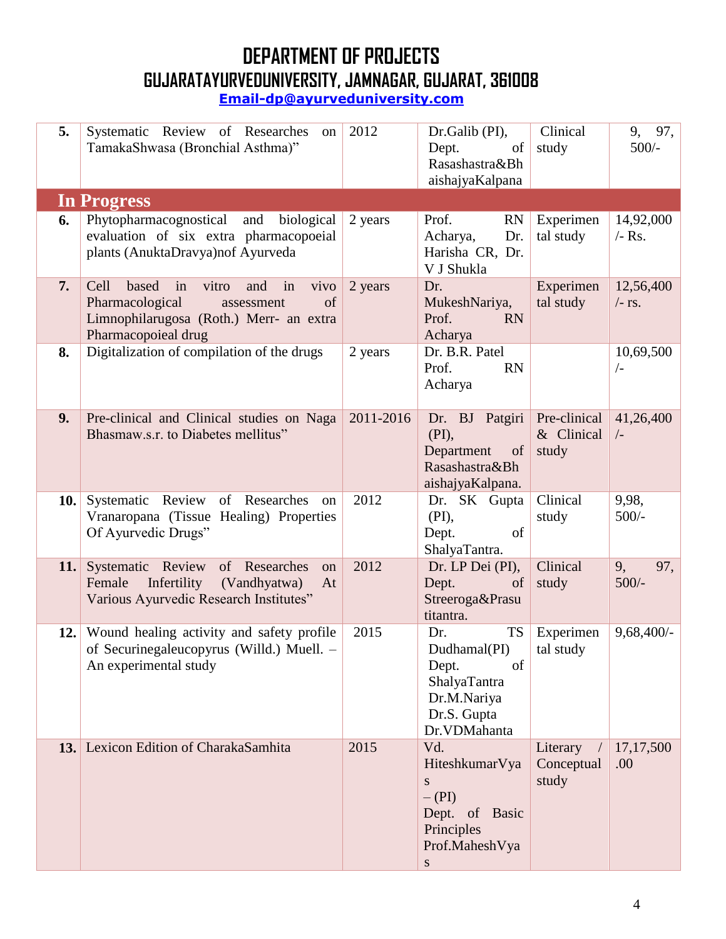| 5.  | Systematic Review of Researches on<br>TamakaShwasa (Bronchial Asthma)"                                                                               | 2012      | Dr.Galib (PI),<br>Dept.<br>of<br>Rasashastra&Bh<br>aishajyaKalpana                                            | Clinical<br>study                   | 9, 97,<br>$500/-$       |
|-----|------------------------------------------------------------------------------------------------------------------------------------------------------|-----------|---------------------------------------------------------------------------------------------------------------|-------------------------------------|-------------------------|
|     | In Progress                                                                                                                                          |           |                                                                                                               |                                     |                         |
| 6.  | Phytopharmacognostical and biological<br>evaluation of six extra pharmacopoeial<br>plants (AnuktaDravya)nof Ayurveda                                 | 2 years   | Prof.<br><b>RN</b><br>Acharya,<br>Dr.<br>Harisha CR, Dr.<br>V J Shukla                                        | Experimen<br>tal study              | 14,92,000<br>$-$ Rs.    |
| 7.  | Cell<br>based in vitro<br>and<br>in<br>vivo<br>Pharmacological<br>of<br>assessment<br>Limnophilarugosa (Roth.) Merr- an extra<br>Pharmacopoieal drug | 2 years   | Dr.<br>MukeshNariya,<br>Prof.<br><b>RN</b><br>Acharya                                                         | Experimen<br>tal study              | 12,56,400<br>$/$ - rs.  |
| 8.  | Digitalization of compilation of the drugs                                                                                                           | 2 years   | Dr. B.R. Patel<br><b>RN</b><br>Prof.<br>Acharya                                                               |                                     | 10,69,500<br>$\sqrt{-}$ |
| 9.  | Pre-clinical and Clinical studies on Naga<br>Bhasmaw.s.r. to Diabetes mellitus"                                                                      | 2011-2016 | Dr. BJ Patgiri<br>(PI),<br>Department of<br>Rasashastra&Bh<br>aishajyaKalpana.                                | Pre-clinical<br>& Clinical<br>study | 41,26,400<br>$\sqrt{-}$ |
|     | <b>10.</b> Systematic Review of Researches on<br>Vranaropana (Tissue Healing) Properties<br>Of Ayurvedic Drugs"                                      | 2012      | Dr. SK Gupta<br>$(PI)$ ,<br>Dept.<br>of<br>ShalyaTantra.                                                      | Clinical<br>study                   | 9,98,<br>$500/-$        |
| 11. | Systematic Review of Researches<br>on<br>Female<br>Infertility (Vandhyatwa)<br>At<br>Various Ayurvedic Research Institutes"                          | 2012      | Dr. LP Dei (PI),<br>Dept.<br>of<br>Streeroga&Prasu<br>titantra.                                               | Clinical<br>study                   | 9,<br>97,<br>$500/-$    |
|     | 12. Wound healing activity and safety profile<br>of Securinegaleucopyrus (Willd.) Muell. -<br>An experimental study                                  | 2015      | <b>TS</b><br>Dr.<br>Dudhamal(PI)<br>Dept.<br>of<br>ShalyaTantra<br>Dr.M.Nariya<br>Dr.S. Gupta<br>Dr.VDMahanta | Experimen<br>tal study              | $9,68,400/-$            |
|     | 13. Lexicon Edition of CharakaSamhita                                                                                                                | 2015      | Vd.<br>HiteshkumarVya<br>S<br>$-(PI)$<br>Dept. of Basic<br>Principles<br>Prof.MaheshVya<br>S                  | Literary<br>Conceptual<br>study     | 17, 17, 500<br>.00      |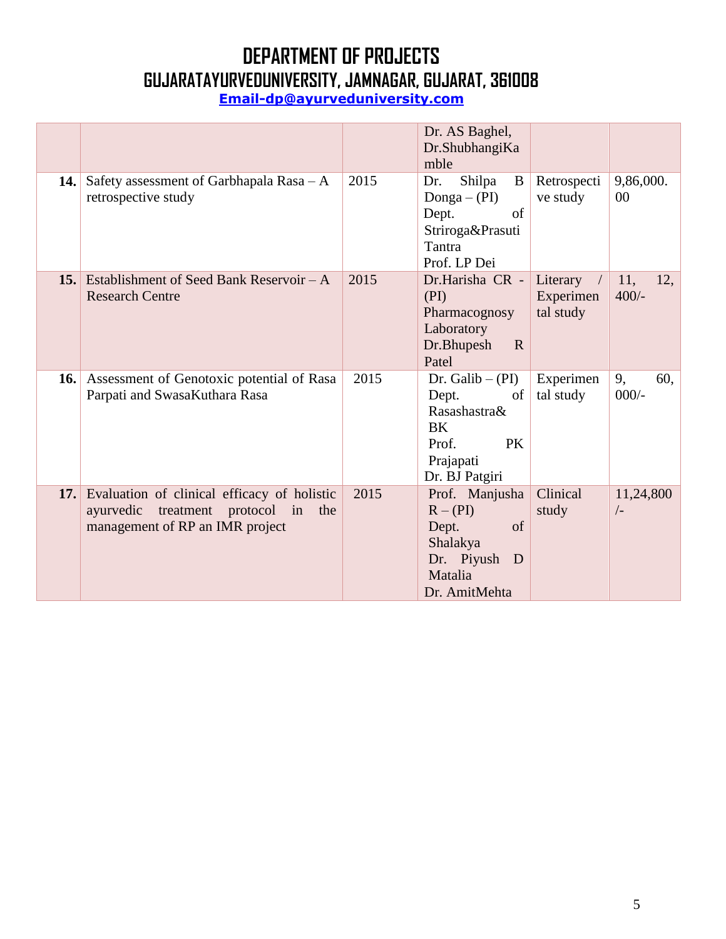|     |                                                                                                                                |      | Dr. AS Baghel,<br>Dr.ShubhangiKa<br>mble                                                                            |                                    |                       |
|-----|--------------------------------------------------------------------------------------------------------------------------------|------|---------------------------------------------------------------------------------------------------------------------|------------------------------------|-----------------------|
|     | <b>14.</b> Safety assessment of Garbhapala Rasa $-A$<br>retrospective study                                                    | 2015 | Shilpa<br>B<br>Dr.<br>Donga $-$ (PI)<br>Dept.<br>of<br>Striroga&Prasuti<br>Tantra<br>Prof. LP Dei                   | Retrospecti<br>ve study            | 9,86,000.<br>00       |
| 15. | Establishment of Seed Bank Reservoir – A<br><b>Research Centre</b>                                                             | 2015 | Dr.Harisha CR -<br>(PI)<br>Pharmacognosy<br>Laboratory<br>Dr.Bhupesh<br>$\mathbf R$<br>Patel                        | Literary<br>Experimen<br>tal study | 11,<br>12.<br>$400/-$ |
| 16. | Assessment of Genotoxic potential of Rasa<br>Parpati and SwasaKuthara Rasa                                                     | 2015 | Dr. Galib $-$ (PI)<br>of<br>Dept.<br>Rasashastra&<br><b>BK</b><br>Prof.<br><b>PK</b><br>Prajapati<br>Dr. BJ Patgiri | Experimen<br>tal study             | 9,<br>60.<br>$000/-$  |
| 17. | Evaluation of clinical efficacy of holistic<br>treatment protocol<br>ayurvedic<br>the<br>in<br>management of RP an IMR project | 2015 | Prof. Manjusha<br>$R - (PI)$<br>Dept.<br>of<br>Shalakya<br>Dr. Piyush<br>D<br>Matalia<br>Dr. AmitMehta              | Clinical<br>study                  | 11,24,800<br>$/$ -    |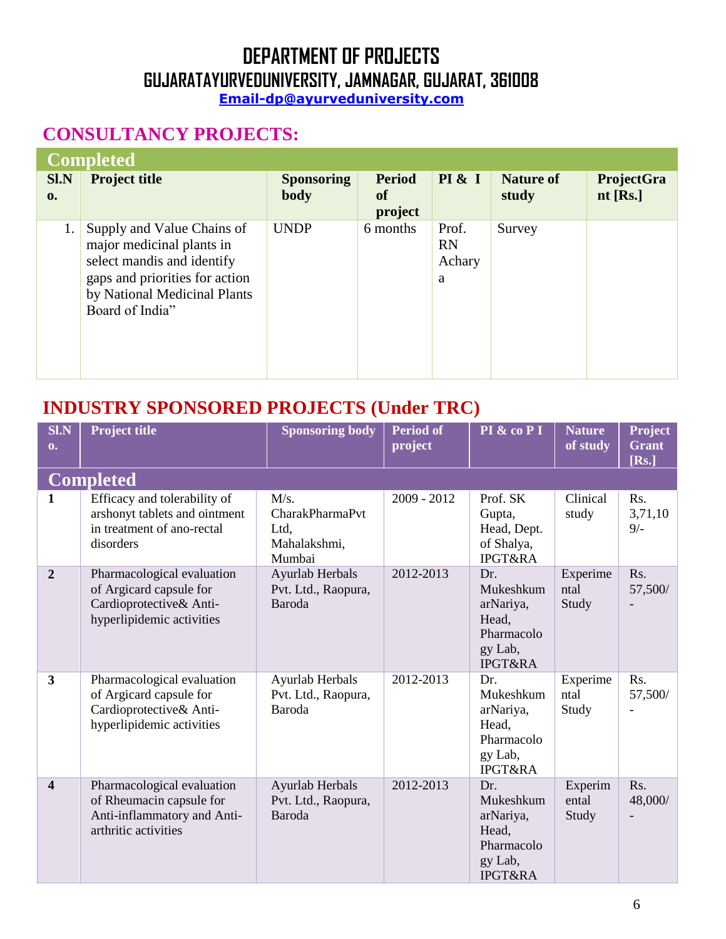#### **Email-dp@ayurveduniversity.com**

### **CONSULTANCY PROJECTS:**

|                | Completed                                                                                                                                                                  |                   |               |                                   |                  |            |
|----------------|----------------------------------------------------------------------------------------------------------------------------------------------------------------------------|-------------------|---------------|-----------------------------------|------------------|------------|
| <b>SI.N</b>    | <b>Project title</b>                                                                                                                                                       | <b>Sponsoring</b> | <b>Period</b> | PI & I                            | <b>Nature of</b> | ProjectGra |
| $\mathbf{0}$ . |                                                                                                                                                                            | <b>body</b>       | of<br>project |                                   | study            | $nt$ [Rs.] |
|                | Supply and Value Chains of<br>major medicinal plants in<br>select mandis and identify<br>gaps and priorities for action<br>by National Medicinal Plants<br>Board of India" | <b>UNDP</b>       | 6 months      | Prof.<br><b>RN</b><br>Achary<br>a | Survey           |            |

### **INDUSTRY SPONSORED PROJECTS (Under TRC)**

| <b>SI.N</b><br>$\mathbf{0}$ . | <b>Project title</b>                                                                                          | <b>Sponsoring body</b>                                           | <b>Period of</b><br>project | PI & co P I                                                                           | <b>Nature</b><br>of study | <b>Project</b><br><b>Grant</b><br>[Rs.] |
|-------------------------------|---------------------------------------------------------------------------------------------------------------|------------------------------------------------------------------|-----------------------------|---------------------------------------------------------------------------------------|---------------------------|-----------------------------------------|
|                               | <b>Completed</b>                                                                                              |                                                                  |                             |                                                                                       |                           |                                         |
| $\mathbf{1}$                  | Efficacy and tolerability of<br>arshonyt tablets and ointment<br>in treatment of ano-rectal<br>disorders      | M/s.<br><b>CharakPharmaPvt</b><br>Ltd,<br>Mahalakshmi,<br>Mumbai | $2009 - 2012$               | Prof. SK<br>Gupta,<br>Head, Dept.<br>of Shalya,<br><b>IPGT&amp;RA</b>                 | Clinical<br>study         | Rs.<br>3,71,10<br>$9/-$                 |
| $\overline{2}$                | Pharmacological evaluation<br>of Argicard capsule for<br>Cardioprotective& Anti-<br>hyperlipidemic activities | Ayurlab Herbals<br>Pvt. Ltd., Raopura,<br>Baroda                 | 2012-2013                   | Dr.<br>Mukeshkum<br>arNariya,<br>Head,<br>Pharmacolo<br>gy Lab,<br><b>IPGT&amp;RA</b> | Experime<br>ntal<br>Study | Rs.<br>57,500/                          |
| $\overline{\mathbf{3}}$       | Pharmacological evaluation<br>of Argicard capsule for<br>Cardioprotective& Anti-<br>hyperlipidemic activities | Ayurlab Herbals<br>Pvt. Ltd., Raopura,<br>Baroda                 | 2012-2013                   | Dr.<br>Mukeshkum<br>arNariya,<br>Head,<br>Pharmacolo<br>gy Lab,<br><b>IPGT&amp;RA</b> | Experime<br>ntal<br>Study | Rs.<br>57,500/                          |
| $\overline{\mathbf{4}}$       | Pharmacological evaluation<br>of Rheumacin capsule for<br>Anti-inflammatory and Anti-<br>arthritic activities | Ayurlab Herbals<br>Pvt. Ltd., Raopura,<br>Baroda                 | 2012-2013                   | Dr.<br>Mukeshkum<br>arNariya,<br>Head,<br>Pharmacolo<br>gy Lab,<br><b>IPGT&amp;RA</b> | Experim<br>ental<br>Study | Rs.<br>48,000/                          |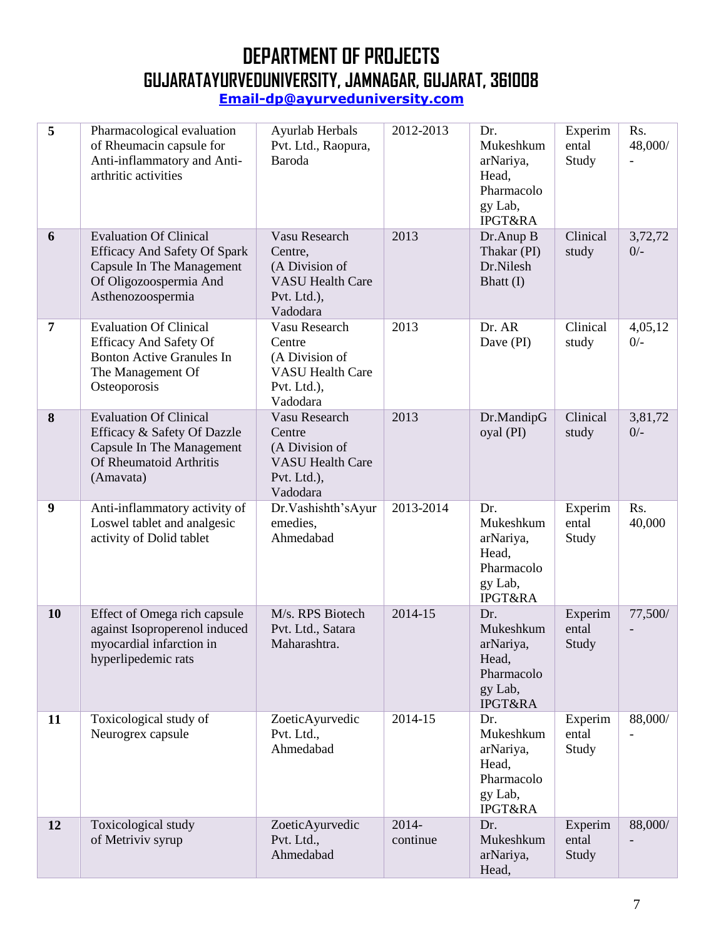| 5                | Pharmacological evaluation<br>of Rheumacin capsule for<br>Anti-inflammatory and Anti-<br>arthritic activities                                    | Ayurlab Herbals<br>Pvt. Ltd., Raopura,<br>Baroda                                                       | 2012-2013         | Dr.<br>Mukeshkum<br>arNariya,<br>Head,<br>Pharmacolo<br>gy Lab,<br><b>IPGT&amp;RA</b> | Experim<br>ental<br>Study | Rs.<br>48,000/   |
|------------------|--------------------------------------------------------------------------------------------------------------------------------------------------|--------------------------------------------------------------------------------------------------------|-------------------|---------------------------------------------------------------------------------------|---------------------------|------------------|
| 6                | <b>Evaluation Of Clinical</b><br><b>Efficacy And Safety Of Spark</b><br>Capsule In The Management<br>Of Oligozoospermia And<br>Asthenozoospermia | Vasu Research<br>Centre,<br>(A Division of<br><b>VASU Health Care</b><br>Pvt. Ltd.),<br>Vadodara       | 2013              | Dr.Anup B<br>Thakar (PI)<br>Dr.Nilesh<br>Bhatt (I)                                    | Clinical<br>study         | 3,72,72<br>$0/-$ |
| $\overline{7}$   | <b>Evaluation Of Clinical</b><br><b>Efficacy And Safety Of</b><br><b>Bonton Active Granules In</b><br>The Management Of<br>Osteoporosis          | Vasu Research<br>Centre<br>(A Division of<br><b>VASU Health Care</b><br>Pvt. Ltd.),<br>Vadodara        | 2013              | Dr. AR<br>Dave (PI)                                                                   | Clinical<br>study         | 4,05,12<br>$0/-$ |
| 8                | <b>Evaluation Of Clinical</b><br>Efficacy & Safety Of Dazzle<br>Capsule In The Management<br>Of Rheumatoid Arthritis<br>(Amavata)                | <b>Vasu Research</b><br>Centre<br>(A Division of<br><b>VASU Health Care</b><br>Pvt. Ltd.),<br>Vadodara | 2013              | Dr.MandipG<br>oyal (PI)                                                               | Clinical<br>study         | 3,81,72<br>$0/-$ |
| $\boldsymbol{9}$ | Anti-inflammatory activity of<br>Loswel tablet and analgesic<br>activity of Dolid tablet                                                         | Dr. Vashishth's Ayur<br>emedies,<br>Ahmedabad                                                          | 2013-2014         | Dr.<br>Mukeshkum<br>arNariya,<br>Head,<br>Pharmacolo<br>gy Lab,<br><b>IPGT&amp;RA</b> | Experim<br>ental<br>Study | Rs.<br>40,000    |
| 10               | Effect of Omega rich capsule<br>against Isoproperenol induced<br>myocardial infarction in<br>hyperlipedemic rats                                 | M/s. RPS Biotech<br>Pvt. Ltd., Satara<br>Maharashtra.                                                  | 2014-15           | Dr.<br>Mukeshkum<br>arNariya,<br>Head,<br>Pharmacolo<br>gy Lab,<br><b>IPGT&amp;RA</b> | Experim<br>ental<br>Study | 77,500/          |
| 11               | Toxicological study of<br>Neurogrex capsule                                                                                                      | ZoeticAyurvedic<br>Pvt. Ltd.,<br>Ahmedabad                                                             | 2014-15           | Dr.<br>Mukeshkum<br>arNariya,<br>Head,<br>Pharmacolo<br>gy Lab,<br><b>IPGT&amp;RA</b> | Experim<br>ental<br>Study | 88,000/          |
| 12               | Toxicological study<br>of Metriviv syrup                                                                                                         | ZoeticAyurvedic<br>Pvt. Ltd.,<br>Ahmedabad                                                             | 2014-<br>continue | Dr.<br>Mukeshkum<br>arNariya,<br>Head,                                                | Experim<br>ental<br>Study | 88,000/          |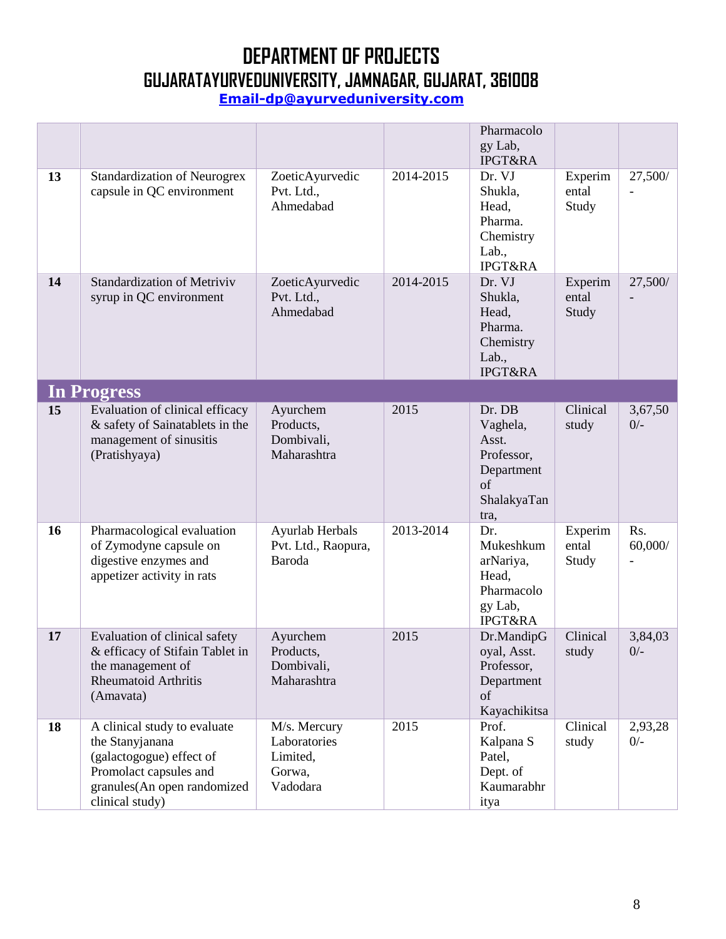|    |                                                                                                                                                         |                                                                |           | Pharmacolo<br>gy Lab,<br><b>IPGT&amp;RA</b>                                           |                           |                  |
|----|---------------------------------------------------------------------------------------------------------------------------------------------------------|----------------------------------------------------------------|-----------|---------------------------------------------------------------------------------------|---------------------------|------------------|
| 13 | <b>Standardization of Neurogrex</b><br>capsule in QC environment                                                                                        | ZoeticAyurvedic<br>Pvt. Ltd.,<br>Ahmedabad                     | 2014-2015 | Dr. VJ<br>Shukla,<br>Head,<br>Pharma.<br>Chemistry<br>Lab.,<br><b>IPGT&amp;RA</b>     | Experim<br>ental<br>Study | 27,500/          |
| 14 | <b>Standardization of Metriviv</b><br>syrup in QC environment                                                                                           | ZoeticAyurvedic<br>Pvt. Ltd.,<br>Ahmedabad                     | 2014-2015 | Dr. VJ<br>Shukla,<br>Head,<br>Pharma.<br>Chemistry<br>Lab.,<br><b>IPGT&amp;RA</b>     | Experim<br>ental<br>Study | 27,500/          |
|    | <b>In Progress</b>                                                                                                                                      |                                                                |           |                                                                                       |                           |                  |
| 15 | Evaluation of clinical efficacy<br>& safety of Sainatablets in the<br>management of sinusitis<br>(Pratishyaya)                                          | Ayurchem<br>Products,<br>Dombivali,<br>Maharashtra             | 2015      | Dr. DB<br>Vaghela,<br>Asst.<br>Professor,<br>Department<br>of<br>ShalakyaTan<br>tra,  | Clinical<br>study         | 3,67,50<br>$0/-$ |
| 16 | Pharmacological evaluation<br>of Zymodyne capsule on<br>digestive enzymes and<br>appetizer activity in rats                                             | Ayurlab Herbals<br>Pvt. Ltd., Raopura,<br>Baroda               | 2013-2014 | Dr.<br>Mukeshkum<br>arNariya,<br>Head,<br>Pharmacolo<br>gy Lab,<br><b>IPGT&amp;RA</b> | Experim<br>ental<br>Study | Rs.<br>60,000/   |
| 17 | Evaluation of clinical safety<br>& efficacy of Stifain Tablet in<br>the management of<br><b>Rheumatoid Arthritis</b><br>(Amavata)                       | Ayurchem<br>Products,<br>Dombivali,<br>Maharashtra             | 2015      | Dr.MandipG<br>oyal, Asst.<br>Professor,<br>Department<br>of<br>Kayachikitsa           | Clinical<br>study         | 3,84,03<br>$0/-$ |
| 18 | A clinical study to evaluate<br>the Stanyjanana<br>(galactogogue) effect of<br>Promolact capsules and<br>granules(An open randomized<br>clinical study) | M/s. Mercury<br>Laboratories<br>Limited,<br>Gorwa,<br>Vadodara | 2015      | Prof.<br>Kalpana S<br>Patel,<br>Dept. of<br>Kaumarabhr<br>itya                        | Clinical<br>study         | 2,93,28<br>$0/-$ |